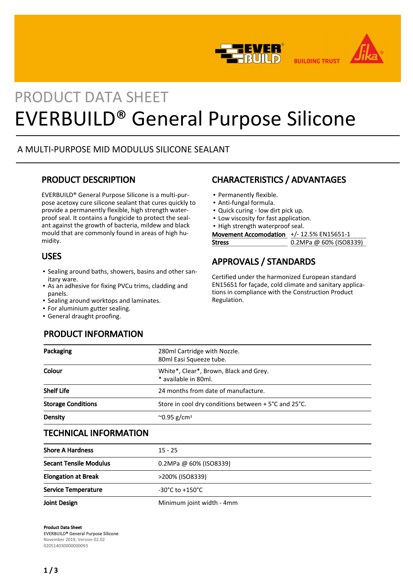



**BUILDING TRUST** 

# PRODUCT DATA SHEET EVERBUILD® General Purpose Silicone

## A MULTI-PURPOSE MID MODULUS SILICONE SEALANT

## PRODUCT DESCRIPTION

EVERBUILD® General Purpose Silicone is a multi-purpose acetoxy cure silicone sealant that cures quickly to provide a permanently flexible, high strength waterproof seal. It contains a fungicide to protect the sealant against the growth of bacteria, mildew and black mould that are commonly found in areas of high humidity.

## USES

- Sealing around baths, showers, basins and other san-▪ itary ware.
- **-** As an adhesive for fixing PVCu trims, cladding and panels.
- Sealing around worktops and laminates.
- For aluminium gutter sealing.
- General draught proofing.

## PRODUCT INFORMATION

# CHARACTERISTICS / ADVANTAGES

- Permanently flexible.
- Anti-fungal formula.
- Quick curing low dirt pick up.
- **.** Low viscosity for fast application.
- High strength waterproof seal.

Movement Accomodation +/- 12.5% EN15651-1

Stress 0.2MPa @ 60% (ISO8339)

## APPROVALS / STANDARDS

Certified under the harmonized European standard EN15651 for façade, cold climate and sanitary applications in compliance with the Construction Product Regulation.

| 280ml Cartridge with Nozzle.<br>80ml Easi Squeeze tube.                  |  |
|--------------------------------------------------------------------------|--|
| White*, Clear*, Brown, Black and Grey.<br>* available in 80ml.           |  |
| 24 months from date of manufacture.                                      |  |
| Store in cool dry conditions between $+5^{\circ}$ C and 25 $^{\circ}$ C. |  |
| $^{\circ}$ 0.95 g/cm <sup>3</sup>                                        |  |
|                                                                          |  |

## TECHNICAL INFORMATION

| <b>Shore A Hardness</b>       | $15 - 25$                           |
|-------------------------------|-------------------------------------|
| <b>Secant Tensile Modulus</b> | $0.2$ MPa @ 60% (ISO8339)           |
| <b>Elongation at Break</b>    | >200% (ISO8339)                     |
| <b>Service Temperature</b>    | $-30^{\circ}$ C to $+150^{\circ}$ C |
| Joint Design                  | Minimum joint width - 4mm           |

Product Data Sheet EVERBUILD® General Purpose Silicone November 2019, Version 02.02 020514030000000093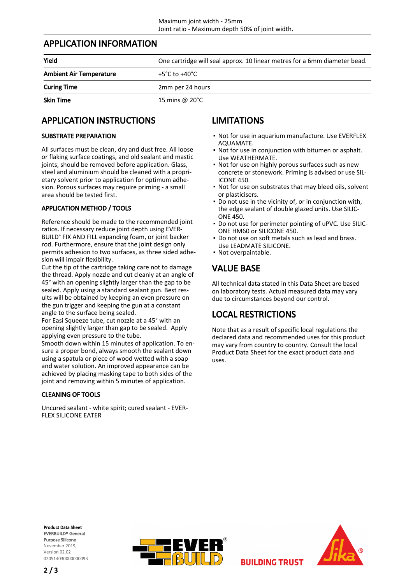## APPLICATION INFORMATION

| Yield                          | One cartridge will seal approx. 10 linear metres for a 6mm diameter bead. |
|--------------------------------|---------------------------------------------------------------------------|
| <b>Ambient Air Temperature</b> | +5°C to +40°C                                                             |
| <b>Curing Time</b>             | 2mm per 24 hours                                                          |
| <b>Skin Time</b>               | 15 mins @ 20°C                                                            |

## APPLICATION INSTRUCTIONS

#### SUBSTRATE PREPARATION

All surfaces must be clean, dry and dust free. All loose or flaking surface coatings, and old sealant and mastic joints, should be removed before application. Glass, steel and aluminium should be cleaned with a proprietary solvent prior to application for optimum adhesion. Porous surfaces may require priming - a small area should be tested first.

## APPLICATION METHOD / TOOLS

Reference should be made to the recommended joint ratios. If necessary reduce joint depth using EVER-BUILD® FIX AND FILL expanding foam, or joint backer rod. Furthermore, ensure that the joint design only permits adhesion to two surfaces, as three sided adhesion will impair flexibility.

Cut the tip of the cartridge taking care not to damage the thread. Apply nozzle and cut cleanly at an angle of 45° with an opening slightly larger than the gap to be sealed. Apply using a standard sealant gun. Best results will be obtained by keeping an even pressure on the gun trigger and keeping the gun at a constant angle to the surface being sealed.

For Easi Squeeze tube, cut nozzle at a 45° with an opening slightly larger than gap to be sealed. Apply applying even pressure to the tube.

Smooth down within 15 minutes of application. To ensure a proper bond, always smooth the sealant down using a spatula or piece of wood wetted with a soap and water solution. An improved appearance can be achieved by placing masking tape to both sides of the joint and removing within 5 minutes of application.

## CLEANING OF TOOLS

Uncured sealant - white spirit; cured sealant - EVER-FLEX SILICONE EATER

## LIMITATIONS

- Not for use in aquarium manufacture. Use EVERFLEX AQUAMATE.
- Not for use in conjunction with bitumen or asphalt. Use WEATHERMATE.
- Not for use on highly porous surfaces such as new concrete or stonework. Priming is advised or use SIL-ICONE 450.
- Not for use on substrates that may bleed oils, solvent or plasticisers.
- Do not use in the vicinity of, or in conjunction with, the edge sealant of double glazed units. Use SILIC-ONE 450. ▪
- Do not use for perimeter pointing of uPVC. Use SILIC-▪ ONE HM60 or SILICONE 450.
- Do not use on soft metals such as lead and brass. Use LEADMATE SILICONE.
- Not overpaintable.

## VALUE BASE

All technical data stated in this Data Sheet are based on laboratory tests. Actual measured data may vary due to circumstances beyond our control.

## LOCAL RESTRICTIONS

Note that as a result of specific local regulations the declared data and recommended uses for this product may vary from country to country. Consult the local Product Data Sheet for the exact product data and uses.

**BUILDING TRUST** 

Product Data Sheet EVERBUILD® General Purpose Silicone November 2019, Version 02.02 020514030000000093